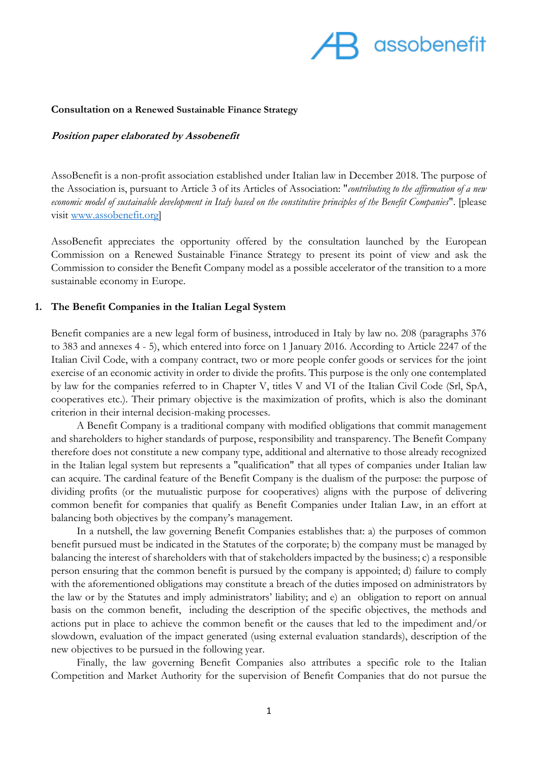

#### **Consultation on a Renewed Sustainable Finance Strategy**

#### **Position paper elaborated by Assobenefit**

AssoBenefit is a non-profit association established under Italian law in December 2018. The purpose of the Association is, pursuant to Article 3 of its Articles of Association: "*contributing to the affirmation of a new economic model of sustainable development in Italy based on the constitutive principles of the Benefit Companies*". [please visit [www.assobenefit.org\]](http://www.assobenefit.org/)

AssoBenefit appreciates the opportunity offered by the consultation launched by the European Commission on a Renewed Sustainable Finance Strategy to present its point of view and ask the Commission to consider the Benefit Company model as a possible accelerator of the transition to a more sustainable economy in Europe.

#### **1. The Benefit Companies in the Italian Legal System**

Benefit companies are a new legal form of business, introduced in Italy by law no. 208 (paragraphs 376 to 383 and annexes 4 - 5), which entered into force on 1 January 2016. According to Article 2247 of the Italian Civil Code, with a company contract, two or more people confer goods or services for the joint exercise of an economic activity in order to divide the profits. This purpose is the only one contemplated by law for the companies referred to in Chapter V, titles V and VI of the Italian Civil Code (Srl, SpA, cooperatives etc.). Their primary objective is the maximization of profits, which is also the dominant criterion in their internal decision-making processes.

A Benefit Company is a traditional company with modified obligations that commit management and shareholders to higher standards of purpose, responsibility and transparency. The Benefit Company therefore does not constitute a new company type, additional and alternative to those already recognized in the Italian legal system but represents a "qualification" that all types of companies under Italian law can acquire. The cardinal feature of the Benefit Company is the dualism of the purpose: the purpose of dividing profits (or the mutualistic purpose for cooperatives) aligns with the purpose of delivering common benefit for companies that qualify as Benefit Companies under Italian Law, in an effort at balancing both objectives by the company's management.

In a nutshell, the law governing Benefit Companies establishes that: a) the purposes of common benefit pursued must be indicated in the Statutes of the corporate; b) the company must be managed by balancing the interest of shareholders with that of stakeholders impacted by the business; c) a responsible person ensuring that the common benefit is pursued by the company is appointed; d) failure to comply with the aforementioned obligations may constitute a breach of the duties imposed on administrators by the law or by the Statutes and imply administrators' liability; and e) an obligation to report on annual basis on the common benefit, including the description of the specific objectives, the methods and actions put in place to achieve the common benefit or the causes that led to the impediment and/or slowdown, evaluation of the impact generated (using external evaluation standards), description of the new objectives to be pursued in the following year.

Finally, the law governing Benefit Companies also attributes a specific role to the Italian Competition and Market Authority for the supervision of Benefit Companies that do not pursue the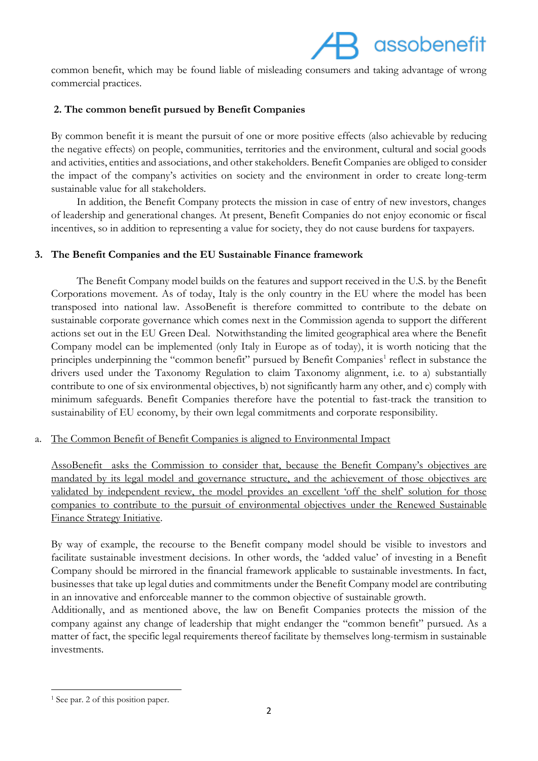# assobenefit

common benefit, which may be found liable of misleading consumers and taking advantage of wrong commercial practices.

## **2. The common benefit pursued by Benefit Companies**

By common benefit it is meant the pursuit of one or more positive effects (also achievable by reducing the negative effects) on people, communities, territories and the environment, cultural and social goods and activities, entities and associations, and other stakeholders. Benefit Companies are obliged to consider the impact of the company's activities on society and the environment in order to create long-term sustainable value for all stakeholders.

In addition, the Benefit Company protects the mission in case of entry of new investors, changes of leadership and generational changes. At present, Benefit Companies do not enjoy economic or fiscal incentives, so in addition to representing a value for society, they do not cause burdens for taxpayers.

## **3. The Benefit Companies and the EU Sustainable Finance framework**

The Benefit Company model builds on the features and support received in the U.S. by the Benefit Corporations movement. As of today, Italy is the only country in the EU where the model has been transposed into national law. AssoBenefit is therefore committed to contribute to the debate on sustainable corporate governance which comes next in the Commission agenda to support the different actions set out in the EU Green Deal. Notwithstanding the limited geographical area where the Benefit Company model can be implemented (only Italy in Europe as of today), it is worth noticing that the principles underpinning the "common benefit" pursued by Benefit Companies<sup>1</sup> reflect in substance the drivers used under the Taxonomy Regulation to claim Taxonomy alignment, i.e. to a) substantially contribute to one of six environmental objectives, b) not significantly harm any other, and c) comply with minimum safeguards. Benefit Companies therefore have the potential to fast-track the transition to sustainability of EU economy, by their own legal commitments and corporate responsibility.

## a. The Common Benefit of Benefit Companies is aligned to Environmental Impact

AssoBenefit asks the Commission to consider that, because the Benefit Company's objectives are mandated by its legal model and governance structure, and the achievement of those objectives are validated by independent review, the model provides an excellent 'off the shelf' solution for those companies to contribute to the pursuit of environmental objectives under the Renewed Sustainable Finance Strategy Initiative.

By way of example, the recourse to the Benefit company model should be visible to investors and facilitate sustainable investment decisions. In other words, the 'added value' of investing in a Benefit Company should be mirrored in the financial framework applicable to sustainable investments. In fact, businesses that take up legal duties and commitments under the Benefit Company model are contributing in an innovative and enforceable manner to the common objective of sustainable growth.

Additionally, and as mentioned above, the law on Benefit Companies protects the mission of the company against any change of leadership that might endanger the "common benefit" pursued. As a matter of fact, the specific legal requirements thereof facilitate by themselves long-termism in sustainable investments.

<sup>1</sup> <sup>1</sup> See par. 2 of this position paper.